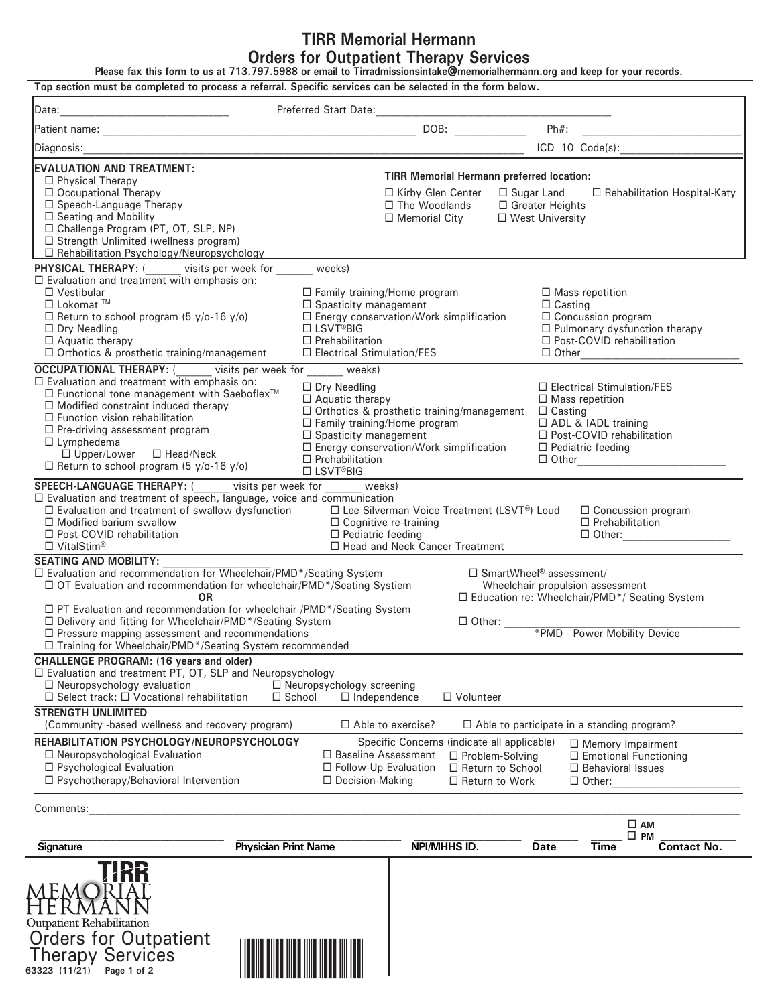# **TIRR Memorial Hermann Orders for Outpatient Therapy Services**

**Please fax this form to us at 713.797.5988 or email to Tirradmissionsintake@memorialhermann.org and keep for your records.**

|                                                                                                                   |                                                                                                                      |                                                   |                                            | the control of the control of the control of      |
|-------------------------------------------------------------------------------------------------------------------|----------------------------------------------------------------------------------------------------------------------|---------------------------------------------------|--------------------------------------------|---------------------------------------------------|
| Diagnosis:                                                                                                        | <u> 2000 - 2000 - 2000 - 2000 - 2000 - 2000 - 2000 - 2000 - 2000 - 2000 - 2000 - 2000 - 2000 - 2000 - 2000 - 200</u> |                                                   |                                            | ICD 10 Code(s):                                   |
| <b>EVALUATION AND TREATMENT:</b>                                                                                  |                                                                                                                      |                                                   |                                            |                                                   |
| $\Box$ Physical Therapy                                                                                           |                                                                                                                      | <b>TIRR Memorial Hermann preferred location:</b>  |                                            |                                                   |
| □ Occupational Therapy                                                                                            |                                                                                                                      | □ Kirby Glen Center                               |                                            | □ Sugar Land □ Rehabilitation Hospital-Katy       |
| □ Speech-Language Therapy                                                                                         |                                                                                                                      | □ The Woodlands                                   | □ Greater Heights                          |                                                   |
| □ Seating and Mobility<br>□ Challenge Program (PT, OT, SLP, NP)                                                   |                                                                                                                      | $\Box$ Memorial City                              | □ West University                          |                                                   |
| □ Strength Unlimited (wellness program)                                                                           |                                                                                                                      |                                                   |                                            |                                                   |
| $\Box$ Rehabilitation Psychology/Neuropsychology                                                                  |                                                                                                                      |                                                   |                                            |                                                   |
|                                                                                                                   |                                                                                                                      |                                                   |                                            |                                                   |
| <b>PHYSICAL THERAPY:</b> $($ visits per week for _______ weeks) $\Box$ Evaluation and treatment with emphasis on: |                                                                                                                      |                                                   |                                            |                                                   |
| $\Box$ Vestibular                                                                                                 |                                                                                                                      | $\Box$ Family training/Home program               |                                            | $\Box$ Mass repetition                            |
| $\Box$ Lokomat <sup>TM</sup>                                                                                      |                                                                                                                      | $\Box$ Spasticity management                      |                                            | $\Box$ Casting                                    |
| $\Box$ Return to school program (5 y/o-16 y/o)                                                                    |                                                                                                                      | $\square$ Energy conservation/Work simplification |                                            | $\Box$ Concussion program                         |
| $\Box$ Dry Needling                                                                                               | □ LSVT <sup>®</sup> BIG                                                                                              |                                                   |                                            | □ Pulmonary dysfunction therapy                   |
| $\Box$ Aquatic therapy                                                                                            | $\Box$ Prehabilitation                                                                                               |                                                   |                                            | □ Post-COVID rehabilitation                       |
| □ Orthotics & prosthetic training/management                                                                      |                                                                                                                      | $\Box$ Electrical Stimulation/FES                 | $\Box$ Other                               | and the company of the company                    |
| <b>OCCUPATIONAL THERAPY:</b> ( visits per week for weeks)                                                         |                                                                                                                      |                                                   |                                            |                                                   |
| $\Box$ Evaluation and treatment with emphasis on:                                                                 | $\Box$ Dry Needling                                                                                                  |                                                   |                                            | $\Box$ Electrical Stimulation/FES                 |
| □ Functional tone management with Saeboflex <sup>™</sup>                                                          | $\Box$ Aquatic therapy                                                                                               |                                                   |                                            | $\Box$ Mass repetition                            |
| $\Box$ Modified constraint induced therapy<br>$\Box$ Function vision rehabilitation                               |                                                                                                                      | $\Box$ Orthotics & prosthetic training/management | $\Box$ Casting                             |                                                   |
| $\Box$ Pre-driving assessment program                                                                             |                                                                                                                      | $\Box$ Family training/Home program               |                                            | □ ADL & IADL training                             |
| $\Box$ Lymphedema                                                                                                 |                                                                                                                      | $\Box$ Spasticity management                      |                                            | □ Post-COVID rehabilitation                       |
| $\Box$ Upper/Lower $\Box$ Head/Neck                                                                               | $\Box$ Prehabilitation                                                                                               | □ Energy conservation/Work simplification         |                                            | $\Box$ Pediatric feeding                          |
| $\Box$ Return to school program (5 y/o-16 y/o)                                                                    | $\Box$ LSVT <sup>®</sup> BIG                                                                                         |                                                   |                                            | □ Other <u>________________________</u>           |
| <b>SPEECH-LANGUAGE THERAPY:</b> ( visits per week for weeks)                                                      |                                                                                                                      |                                                   |                                            |                                                   |
| $\Box$ Evaluation and treatment of speech, language, voice and communication                                      |                                                                                                                      |                                                   |                                            |                                                   |
| $\Box$ Evaluation and treatment of swallow dysfunction $\Box$ Lee Silverman Voice Treatment (LSVT®) Loud          |                                                                                                                      |                                                   |                                            | $\Box$ Concussion program                         |
| $\Box$ Modified barium swallow                                                                                    |                                                                                                                      | □ Cognitive re-training                           |                                            | $\Box$ Prehabilitation                            |
| $\Box$ Post-COVID rehabilitation                                                                                  |                                                                                                                      | $\Box$ Pediatric feeding                          |                                            | $\Box$ Other:                                     |
| $\Box$ VitalStim®                                                                                                 |                                                                                                                      | □ Head and Neck Cancer Treatment                  |                                            |                                                   |
| <b>SEATING AND MOBILITY:</b>                                                                                      |                                                                                                                      |                                                   |                                            |                                                   |
| □ Evaluation and recommendation for Wheelchair/PMD*/Seating System                                                |                                                                                                                      |                                                   | $\Box$ SmartWheel <sup>®</sup> assessment/ |                                                   |
| □ OT Evaluation and recommendation for wheelchair/PMD*/Seating Systiem                                            |                                                                                                                      |                                                   |                                            | Wheelchair propulsion assessment                  |
| <b>OR</b><br>□ PT Evaluation and recommendation for wheelchair /PMD*/Seating System                               |                                                                                                                      |                                                   |                                            | □ Education re: Wheelchair/PMD*/ Seating System   |
| □ Delivery and fitting for Wheelchair/PMD*/Seating System                                                         |                                                                                                                      |                                                   |                                            |                                                   |
| $\Box$ Pressure mapping assessment and recommendations                                                            |                                                                                                                      | $\Box$ Other:<br>*PMD - Power Mobility Device     |                                            |                                                   |
| □ Training for Wheelchair/PMD*/Seating System recommended                                                         |                                                                                                                      |                                                   |                                            |                                                   |
| CHALLENGE PROGRAM: (16 years and older)                                                                           |                                                                                                                      |                                                   |                                            |                                                   |
| $\Box$ Evaluation and treatment PT, OT, SLP and Neuropsychology                                                   |                                                                                                                      |                                                   |                                            |                                                   |
| $\Box$ Neuropsychology evaluation                                                                                 | □ Neuropsychology screening                                                                                          |                                                   |                                            |                                                   |
| $\Box$ Select track: $\Box$ Vocational rehabilitation                                                             | $\Box$ School                                                                                                        | $\Box$ Independence<br>$\Box$ Volunteer           |                                            |                                                   |
| <b>STRENGTH UNLIMITED</b>                                                                                         |                                                                                                                      |                                                   |                                            |                                                   |
| (Community -based wellness and recovery program)                                                                  |                                                                                                                      | $\Box$ Able to exercise?                          |                                            | $\Box$ Able to participate in a standing program? |
| REHABILITATION PSYCHOLOGY/NEUROPSYCHOLOGY                                                                         |                                                                                                                      | Specific Concerns (indicate all applicable)       |                                            | $\Box$ Memory Impairment                          |
| $\Box$ Neuropsychological Evaluation                                                                              |                                                                                                                      | □ Baseline Assessment                             | $\Box$ Problem-Solving                     | $\Box$ Emotional Functioning                      |
| □ Psychological Evaluation                                                                                        |                                                                                                                      | □ Follow-Up Evaluation                            | □ Return to School                         | $\Box$ Behavioral Issues                          |
| $\Box$ Psychotherapy/Behavioral Intervention                                                                      |                                                                                                                      | $\Box$ Decision-Making                            | $\Box$ Return to Work                      | $\Box$ Other:                                     |
|                                                                                                                   |                                                                                                                      |                                                   |                                            |                                                   |
| Comments:                                                                                                         |                                                                                                                      |                                                   |                                            |                                                   |
|                                                                                                                   |                                                                                                                      |                                                   |                                            | $\square$ AM                                      |
| Signature                                                                                                         | <b>Physician Print Name</b>                                                                                          | NPI/MHHS ID.                                      | Date                                       | $\square$ PM<br><b>Time</b><br><b>Contact No.</b> |
| <b>Outpatient Rehabilitation</b><br><b>Orders for Outpatient</b><br><b>Therapy Services</b>                       |                                                                                                                      |                                                   |                                            |                                                   |